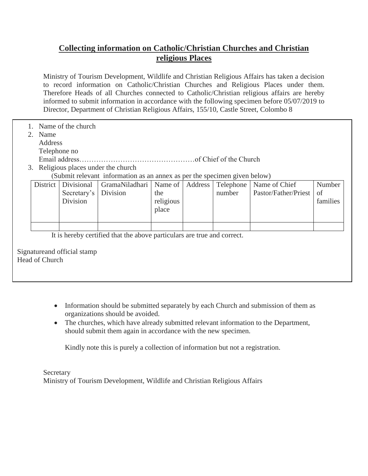## **Collecting information on Catholic/Christian Churches and Christian religious Places**

Ministry of Tourism Development, Wildlife and Christian Religious Affairs has taken a decision to record information on Catholic/Christian Churches and Religious Places under them. Therefore Heads of all Churches connected to Catholic/Christian religious affairs are hereby informed to submit information in accordance with the following specimen before 05/07/2019 to Director, Department of Christian Religious Affairs, 155/10, Castle Street, Colombo 8

- 1. Name of the church
	- 2. Name
	- Address
		- Telephone no
		- Email address…………………………………………of Chief of the Church
	- 3. Religious places under the church
		- (Submit relevant information as an annex as per the specimen given below)

|                                                | <b>District</b>                                                         | Divisional<br>Secretary's<br>Division | GramaNiladhari<br>Division | Name of<br>the<br>religious<br>place | Address | Telephone<br>number | Name of Chief<br>Pastor/Father/Priest | Number<br>of<br>families |  |
|------------------------------------------------|-------------------------------------------------------------------------|---------------------------------------|----------------------------|--------------------------------------|---------|---------------------|---------------------------------------|--------------------------|--|
|                                                |                                                                         |                                       |                            |                                      |         |                     |                                       |                          |  |
|                                                | It is hereby certified that the above particulars are true and correct. |                                       |                            |                                      |         |                     |                                       |                          |  |
| Signature and official stamp<br>Head of Church |                                                                         |                                       |                            |                                      |         |                     |                                       |                          |  |

- Information should be submitted separately by each Church and submission of them as organizations should be avoided.
- The churches, which have already submitted relevant information to the Department, should submit them again in accordance with the new specimen.

Kindly note this is purely a collection of information but not a registration.

**Secretary** Ministry of Tourism Development, Wildlife and Christian Religious Affairs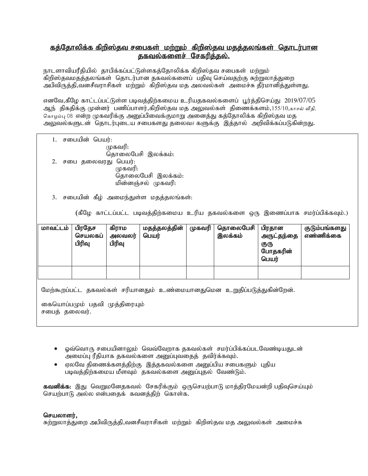## <u>கத்தோலிக்க கிறிஸ்தவ சபைகள் மற்றும் கிறிஸ்தவ மதத்தலங்கள் தொடர்பான</u> <u>தகவல்களைச் சேகரிக்கல்.</u>

நாடளாவியரீதியில் தாபிக்கப்பட்டுள்ளகத்தோலிக்க கிறிஸ்தவ சபைகள் மற்றும் கிறிஸ்தவமதத்தலங்கள் தொடர்பான தகவல்களைப் பதிவு செய்வதற்கு சுற்றுலாத்துறை அபிவிருத்தி,வனசீவராசிகள் மற்றும் கிறிஸ்தவ மத அலவல்கள் அமைச்சு தீர்மானித்துள்ளது.

எனவே,கீழே காட்டப்பட்டுள்ள படிவத்திற்கமைய உரியதகவல்களைப் பூர்த்திசெய்து 2019/07/05 ஆந் திகதிக்கு முன்னர் பணிப்பாளர்,கிறிஸ்தவ மத அலுவல்கள் திணைக்களம்,155/10,காசல் வீதி, கொழம்பு 08 என்ற முகவரிக்கு அனுப்பிவைக்குமாறு அனைத்து கத்தோலிக்க கிறிஸ்தவ மத அலுவல்களுடன் தொடர்புடைய சபைகளது தலைவர் களுக்கு இத்தால் அறிவிக்கப்படுகின்றது.

1. சபையின் பெயர்:  $(\mu$ கவரி: தொலைபேசி இலக்கம்: 2. சபை தலைவரது பெயர்: (முகவரி: தொலைபேசி இலக்கம்: மின்னஞ்சல் முகவரி:

3. சபையின் கீழ் அமைந்துள்ள மதத்தலங்கள்:

(கீழே காட்டப்பட்ட படிவத்திற்கமைய உரிய தகவல்களை ஒரு இணைப்பாக சமர்ப்பிக்கவும்.)

| மாவட்டம் | பிரதேச<br>செயலகப்<br>பிரிவு | கிராம<br>அலவலர்<br>பிரிவு | மதத்தலத்தின்<br>பெயர் | முகவரி | தொலைபேசி<br>இலக்கம் | பிரதான<br>அருட்தந்தை<br>குரு<br>போதகரின்<br>பெயர் | குடும்பங்களது<br>எண்ணிக்கை |
|----------|-----------------------------|---------------------------|-----------------------|--------|---------------------|---------------------------------------------------|----------------------------|
|          |                             |                           |                       |        |                     |                                                   |                            |

மேற்கூறப்பட்ட தகவல்கள் சரியானதும் உண்மையானதுமென உறுதிப்படுத்துகின்றேன்.

கையொப்பமும் பதவி முத்திரையும் சபைத் தலைவர்.

- $\bullet$  ஓவ்வொரு சபையினாலும் வெவ்வேறாக தகவல்கள் சமர்ப்பிக்கப்படவேண்டியதுடன் அமைப்பு ரீதியாக தகவல்களை அனுப்புவதைத் தவிர்க்கவும்.
- ஏலவே திணைக்களத்திற்கு இத்தகவல்களை அனுப்பிய சபைகளும் புதிய படிவத்திற்கமைய மீளவும் தகவல்களை அனுப்புதல் வேண்டும்.

கவனிக்க: இது வெறுமனேதகவல் சேகரிக்கும் ஒருசெயற்பாடு மாத்திரமேயன்றி பதிவுசெய்யும் செயற்பாடு அல்ல என்பதைக் கவனத்திற் கொள்க.

## செயலாளர்.

சுற்றுலாத்துறை அபிவிருத்தி,வனசீவராசிகள் மற்றும் கிறிஸ்தவ மத அலுவல்கள் அமைச்சு